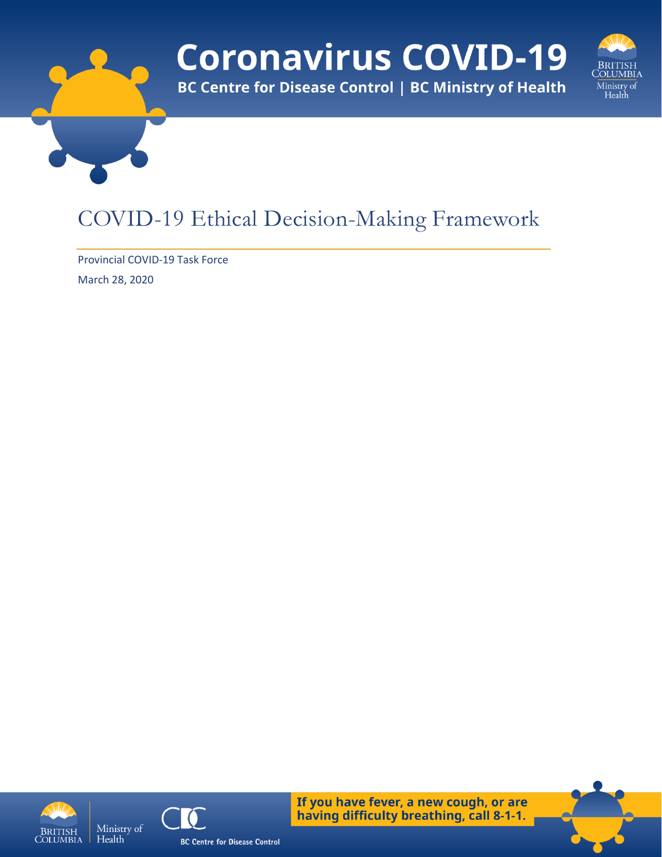# **Coronavirus COVID-19**

**BC Centre for Disease Control | BC Ministry of Health** 



## COVID-19 Ethical Decision-Making Framework

Provincial COVID-19 Task Force March 28, 2020





If you have fever, a new cough, or are having difficulty breathing, call 8-1-1.

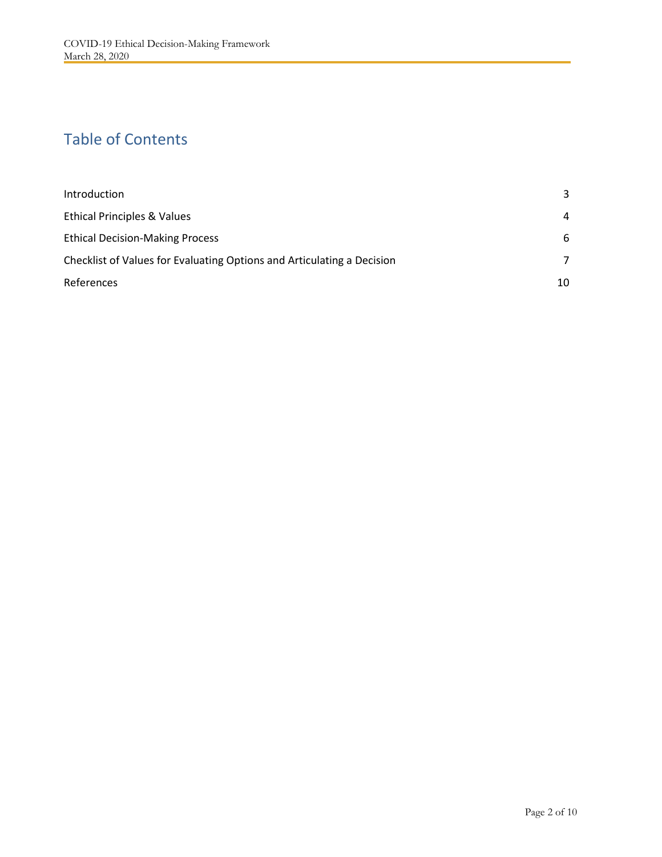#### Table of Contents

| Introduction                                                           | 3              |
|------------------------------------------------------------------------|----------------|
| <b>Ethical Principles &amp; Values</b>                                 | 4              |
| <b>Ethical Decision-Making Process</b>                                 | 6              |
| Checklist of Values for Evaluating Options and Articulating a Decision | $\overline{7}$ |
| References                                                             | 10             |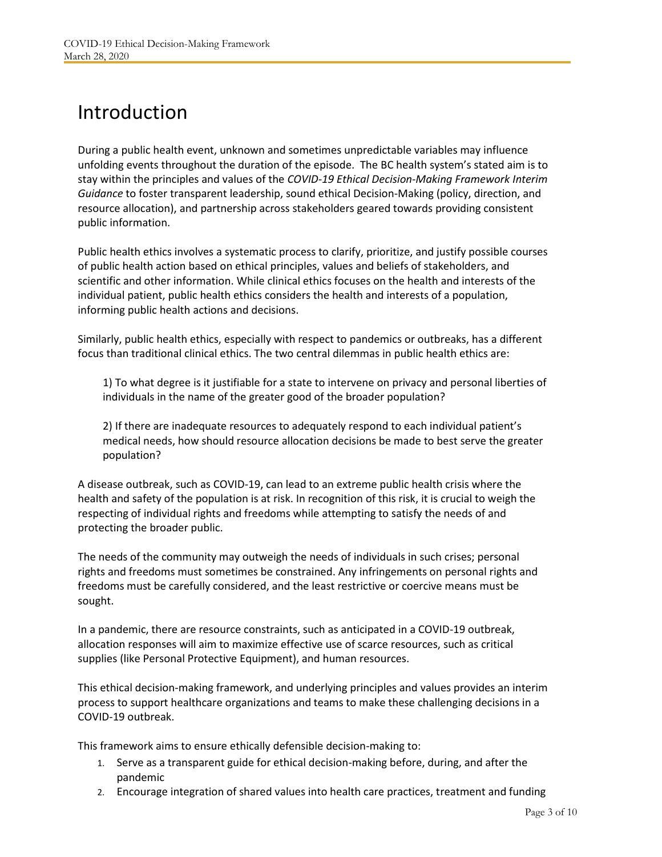### <span id="page-2-0"></span>Introduction

During a public health event, unknown and sometimes unpredictable variables may influence unfolding events throughout the duration of the episode. The BC health system's stated aim is to stay within the principles and values of the *COVID-19 Ethical Decision-Making Framework Interim Guidance* to foster transparent leadership, sound ethical Decision-Making (policy, direction, and resource allocation), and partnership across stakeholders geared towards providing consistent public information.

Public health ethics involves a systematic process to clarify, prioritize, and justify possible courses of public health action based on ethical principles, values and beliefs of stakeholders, and scientific and other information. While clinical ethics focuses on the health and interests of the individual patient, public health ethics considers the health and interests of a population, informing public health actions and decisions.

Similarly, public health ethics, especially with respect to pandemics or outbreaks, has a different focus than traditional clinical ethics. The two central dilemmas in public health ethics are:

1) To what degree is it justifiable for a state to intervene on privacy and personal liberties of individuals in the name of the greater good of the broader population?

2) If there are inadequate resources to adequately respond to each individual patient's medical needs, how should resource allocation decisions be made to best serve the greater population?

A disease outbreak, such as COVID-19, can lead to an extreme public health crisis where the health and safety of the population is at risk. In recognition of this risk, it is crucial to weigh the respecting of individual rights and freedoms while attempting to satisfy the needs of and protecting the broader public.

The needs of the community may outweigh the needs of individuals in such crises; personal rights and freedoms must sometimes be constrained. Any infringements on personal rights and freedoms must be carefully considered, and the least restrictive or coercive means must be sought.

In a pandemic, there are resource constraints, such as anticipated in a COVID-19 outbreak, allocation responses will aim to maximize effective use of scarce resources, such as critical supplies (like Personal Protective Equipment), and human resources.

This ethical decision-making framework, and underlying principles and values provides an interim process to support healthcare organizations and teams to make these challenging decisions in a COVID-19 outbreak.

This framework aims to ensure ethically defensible decision-making to:

- 1. Serve as a transparent guide for ethical decision-making before, during, and after the pandemic
- 2. Encourage integration of shared values into health care practices, treatment and funding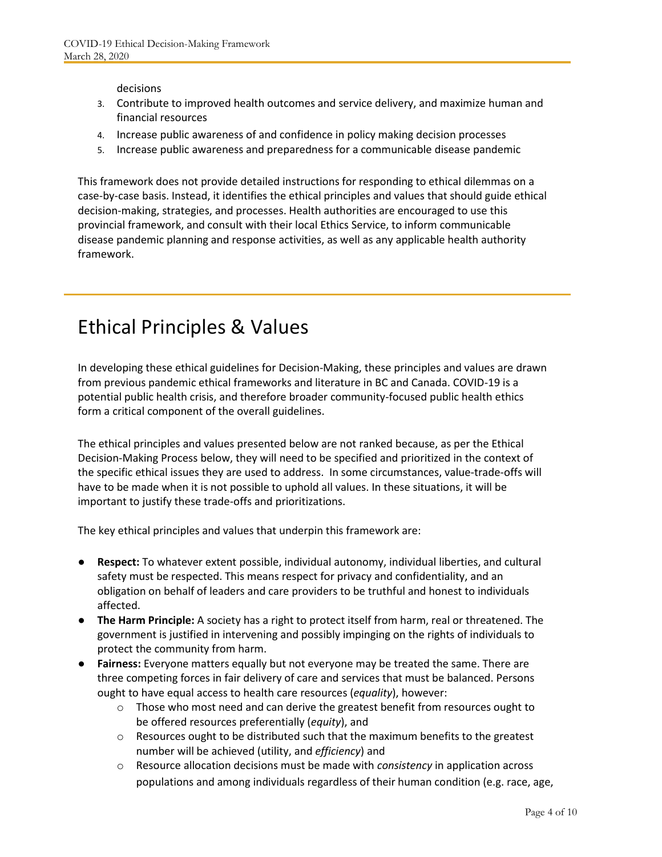decisions

- 3. Contribute to improved health outcomes and service delivery, and maximize human and financial resources
- 4. Increase public awareness of and confidence in policy making decision processes
- 5. Increase public awareness and preparedness for a communicable disease pandemic

This framework does not provide detailed instructions for responding to ethical dilemmas on a case-by-case basis. Instead, it identifies the ethical principles and values that should guide ethical decision-making, strategies, and processes. Health authorities are encouraged to use this provincial framework, and consult with their local Ethics Service, to inform communicable disease pandemic planning and response activities, as well as any applicable health authority framework.

#### <span id="page-3-0"></span>Ethical Principles & Values

In developing these ethical guidelines for Decision-Making, these principles and values are drawn from previous pandemic ethical frameworks and literature in BC and Canada. COVID-19 is a potential public health crisis, and therefore broader community-focused public health ethics form a critical component of the overall guidelines.

The ethical principles and values presented below are not ranked because, as per the Ethical Decision-Making Process below, they will need to be specified and prioritized in the context of the specific ethical issues they are used to address. In some circumstances, value-trade-offs will have to be made when it is not possible to uphold all values. In these situations, it will be important to justify these trade-offs and prioritizations.

The key ethical principles and values that underpin this framework are:

- **Respect:** To whatever extent possible, individual autonomy, individual liberties, and cultural safety must be respected. This means respect for privacy and confidentiality, and an obligation on behalf of leaders and care providers to be truthful and honest to individuals affected.
- **The Harm Principle:** A society has a right to protect itself from harm, real or threatened. The government is justified in intervening and possibly impinging on the rights of individuals to protect the community from harm.
- **Fairness:** Everyone matters equally but not everyone may be treated the same. There are three competing forces in fair delivery of care and services that must be balanced. Persons ought to have equal access to health care resources (*equality*), however:
	- $\circ$  Those who most need and can derive the greatest benefit from resources ought to be offered resources preferentially (*equity*), and
	- o Resources ought to be distributed such that the maximum benefits to the greatest number will be achieved (utility, and *efficiency*) and
	- o Resource allocation decisions must be made with *consistency* in application across populations and among individuals regardless of their human condition (e.g. race, age,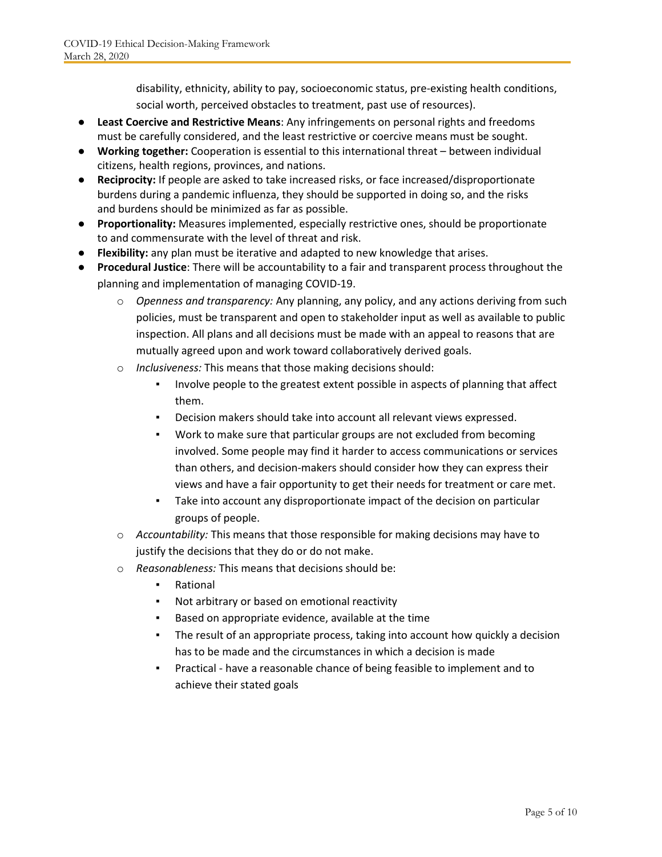disability, ethnicity, ability to pay, socioeconomic status, pre-existing health conditions, social worth, perceived obstacles to treatment, past use of resources).

- **Least Coercive and Restrictive Means**: Any infringements on personal rights and freedoms must be carefully considered, and the least restrictive or coercive means must be sought.
- **Working together:** Cooperation is essential to this international threat between individual citizens, health regions, provinces, and nations.
- **Reciprocity:** If people are asked to take increased risks, or face increased/disproportionate burdens during a pandemic influenza, they should be supported in doing so, and the risks and burdens should be minimized as far as possible.
- **Proportionality:** Measures implemented, especially restrictive ones, should be proportionate to and commensurate with the level of threat and risk.
- **Flexibility:** any plan must be iterative and adapted to new knowledge that arises.
- **Procedural Justice**: There will be accountability to a fair and transparent process throughout the planning and implementation of managing COVID-19.
	- o *Openness and transparency:* Any planning, any policy, and any actions deriving from such policies, must be transparent and open to stakeholder input as well as available to public inspection. All plans and all decisions must be made with an appeal to reasons that are mutually agreed upon and work toward collaboratively derived goals.
	- o *Inclusiveness:* This means that those making decisions should:
		- Involve people to the greatest extent possible in aspects of planning that affect them.
		- Decision makers should take into account all relevant views expressed.
		- Work to make sure that particular groups are not excluded from becoming involved. Some people may find it harder to access communications or services than others, and decision-makers should consider how they can express their views and have a fair opportunity to get their needs for treatment or care met.
		- Take into account any disproportionate impact of the decision on particular groups of people.
	- o *Accountability:* This means that those responsible for making decisions may have to justify the decisions that they do or do not make.
	- o *Reasonableness:* This means that decisions should be:
		- Rational
		- Not arbitrary or based on emotional reactivity
		- Based on appropriate evidence, available at the time
		- The result of an appropriate process, taking into account how quickly a decision has to be made and the circumstances in which a decision is made
		- Practical have a reasonable chance of being feasible to implement and to achieve their stated goals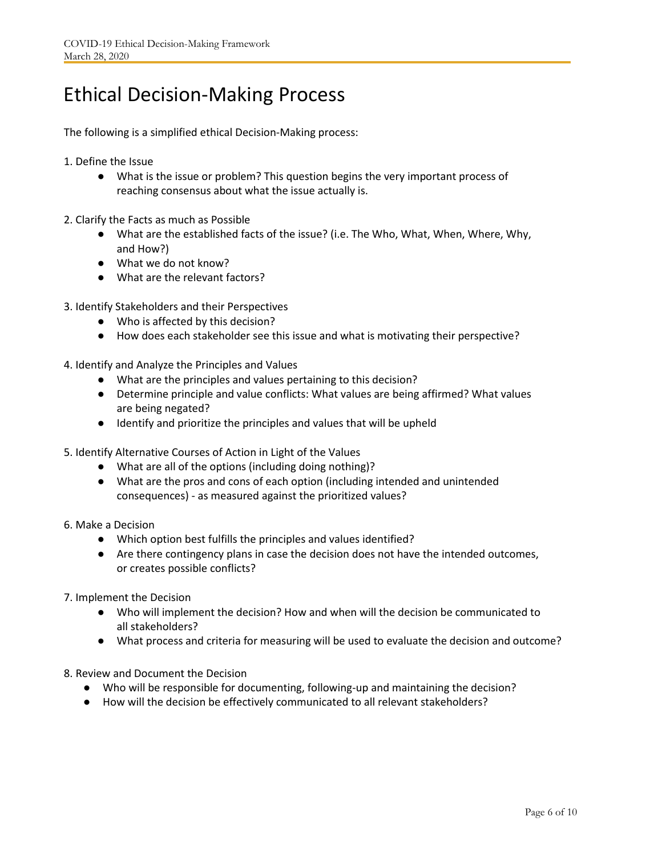#### <span id="page-5-0"></span>Ethical Decision-Making Process

The following is a simplified ethical Decision-Making process:

- 1. Define the Issue
	- What is the issue or problem? This question begins the very important process of reaching consensus about what the issue actually is.
- 2. Clarify the Facts as much as Possible
	- What are the established facts of the issue? (i.e. The Who, What, When, Where, Why, and How?)
	- What we do not know?
	- What are the relevant factors?
- 3. Identify Stakeholders and their Perspectives
	- Who is affected by this decision?
	- How does each stakeholder see this issue and what is motivating their perspective?
- 4. Identify and Analyze the Principles and Values
	- What are the principles and values pertaining to this decision?
	- Determine principle and value conflicts: What values are being affirmed? What values are being negated?
	- Identify and prioritize the principles and values that will be upheld
- 5. Identify Alternative Courses of Action in Light of the Values
	- What are all of the options (including doing nothing)?
	- What are the pros and cons of each option (including intended and unintended consequences) - as measured against the prioritized values?
- 6. Make a Decision
	- Which option best fulfills the principles and values identified?
	- Are there contingency plans in case the decision does not have the intended outcomes, or creates possible conflicts?
- 7. Implement the Decision
	- Who will implement the decision? How and when will the decision be communicated to all stakeholders?
	- What process and criteria for measuring will be used to evaluate the decision and outcome?
- 8. Review and Document the Decision
	- Who will be responsible for documenting, following-up and maintaining the decision?
	- How will the decision be effectively communicated to all relevant stakeholders?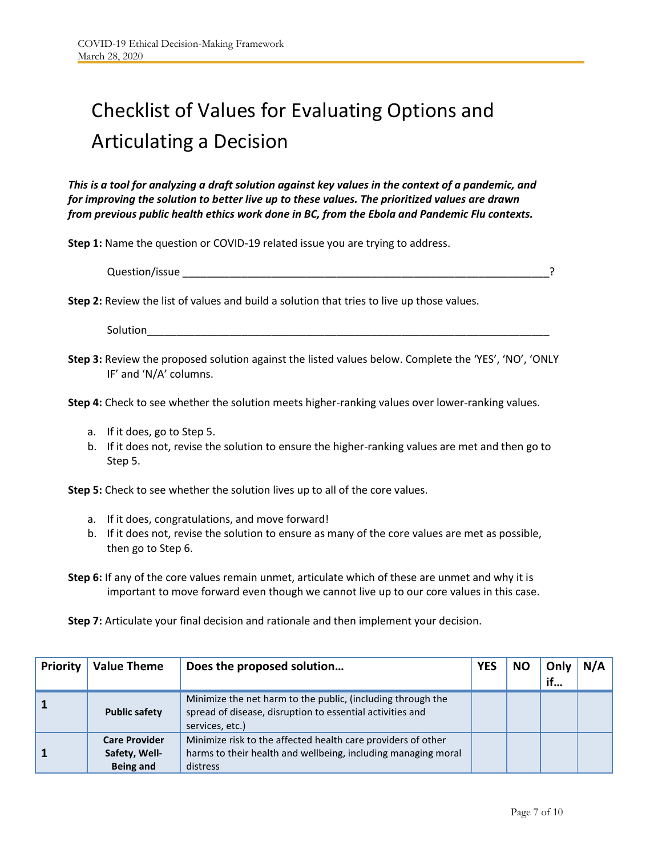## <span id="page-6-0"></span>Checklist of Values for Evaluating Options and Articulating a Decision

*This is a tool for analyzing a draft solution against key values in the context of a pandemic, and for improving the solution to better live up to these values. The prioritized values are drawn from previous public health ethics work done in BC, from the Ebola and Pandemic Flu contexts.*

**Step 1:** Name the question or COVID-19 related issue you are trying to address.

| Question/issue |  |
|----------------|--|
|                |  |

**Step 2:** Review the list of values and build a solution that tries to live up those values.

Solution\_\_\_\_\_\_\_\_\_\_\_\_\_\_\_\_\_\_\_\_\_\_\_\_\_\_\_\_\_\_\_\_\_\_\_\_\_\_\_\_\_\_\_\_\_\_\_\_\_\_\_\_\_\_\_\_\_\_\_\_\_\_\_\_\_\_\_\_

**Step 3:** Review the proposed solution against the listed values below. Complete the 'YES', 'NO', 'ONLY IF' and 'N/A' columns.

**Step 4:** Check to see whether the solution meets higher-ranking values over lower-ranking values.

- a. If it does, go to Step 5.
- b. If it does not, revise the solution to ensure the higher-ranking values are met and then go to Step 5.

**Step 5:** Check to see whether the solution lives up to all of the core values.

- a. If it does, congratulations, and move forward!
- b. If it does not, revise the solution to ensure as many of the core values are met as possible, then go to Step 6.

**Step 6:** If any of the core values remain unmet, articulate which of these are unmet and why it is important to move forward even though we cannot live up to our core values in this case.

**Step 7:** Articulate your final decision and rationale and then implement your decision.

| Priority | <b>Value Theme</b>   | Does the proposed solution                                                                                                                  | <b>YES</b> | <b>NO</b> | Only | N/A |
|----------|----------------------|---------------------------------------------------------------------------------------------------------------------------------------------|------------|-----------|------|-----|
|          |                      |                                                                                                                                             |            |           | if   |     |
|          | <b>Public safety</b> | Minimize the net harm to the public, (including through the<br>spread of disease, disruption to essential activities and<br>services, etc.) |            |           |      |     |
|          | <b>Care Provider</b> | Minimize risk to the affected health care providers of other                                                                                |            |           |      |     |
|          | Safety, Well-        | harms to their health and wellbeing, including managing moral                                                                               |            |           |      |     |
|          | <b>Being and</b>     | distress                                                                                                                                    |            |           |      |     |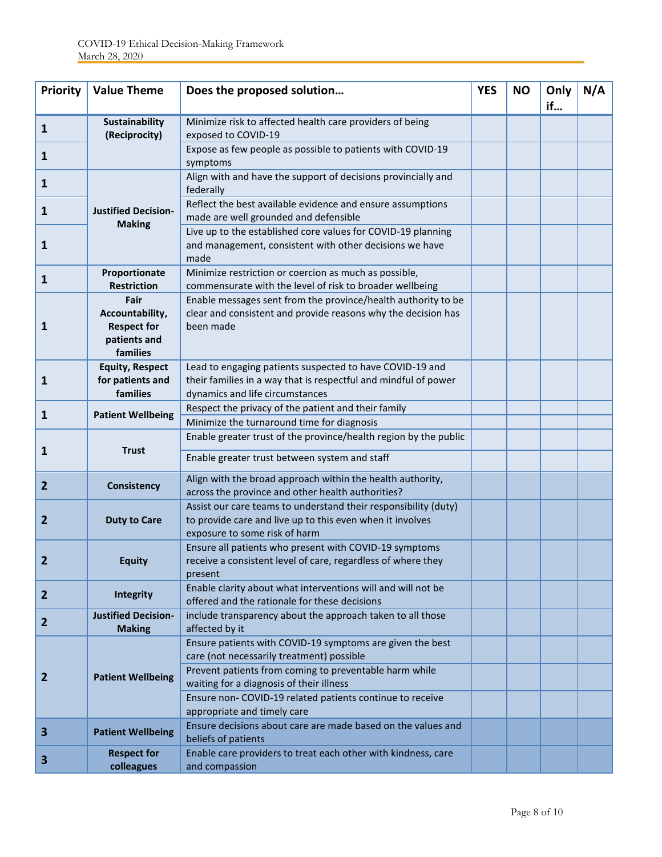| <b>Priority</b>         | <b>Value Theme</b>                                                        | Does the proposed solution                                                                                                                                                                                                                                                                               | <b>YES</b> | <b>NO</b> | Only<br>if | N/A |
|-------------------------|---------------------------------------------------------------------------|----------------------------------------------------------------------------------------------------------------------------------------------------------------------------------------------------------------------------------------------------------------------------------------------------------|------------|-----------|------------|-----|
| 1                       | <b>Sustainability</b><br>(Reciprocity)                                    | Minimize risk to affected health care providers of being<br>exposed to COVID-19                                                                                                                                                                                                                          |            |           |            |     |
| 1                       |                                                                           | Expose as few people as possible to patients with COVID-19<br>symptoms                                                                                                                                                                                                                                   |            |           |            |     |
| 1                       |                                                                           | Align with and have the support of decisions provincially and<br>federally                                                                                                                                                                                                                               |            |           |            |     |
| 1                       | <b>Justified Decision-</b>                                                | Reflect the best available evidence and ensure assumptions<br>made are well grounded and defensible                                                                                                                                                                                                      |            |           |            |     |
| 1                       | <b>Making</b>                                                             | Live up to the established core values for COVID-19 planning<br>and management, consistent with other decisions we have<br>made                                                                                                                                                                          |            |           |            |     |
| 1                       | Proportionate<br><b>Restriction</b>                                       | Minimize restriction or coercion as much as possible,<br>commensurate with the level of risk to broader wellbeing                                                                                                                                                                                        |            |           |            |     |
| 1                       | Fair<br>Accountability,<br><b>Respect for</b><br>patients and<br>families | Enable messages sent from the province/health authority to be<br>clear and consistent and provide reasons why the decision has<br>been made                                                                                                                                                              |            |           |            |     |
| 1                       | <b>Equity, Respect</b><br>for patients and<br>families                    | Lead to engaging patients suspected to have COVID-19 and<br>their families in a way that is respectful and mindful of power<br>dynamics and life circumstances                                                                                                                                           |            |           |            |     |
| 1                       | <b>Patient Wellbeing</b>                                                  | Respect the privacy of the patient and their family<br>Minimize the turnaround time for diagnosis                                                                                                                                                                                                        |            |           |            |     |
|                         | <b>Trust</b>                                                              | Enable greater trust of the province/health region by the public                                                                                                                                                                                                                                         |            |           |            |     |
| 1                       |                                                                           | Enable greater trust between system and staff                                                                                                                                                                                                                                                            |            |           |            |     |
| $\overline{2}$          | Consistency                                                               | Align with the broad approach within the health authority,<br>across the province and other health authorities?                                                                                                                                                                                          |            |           |            |     |
| 2                       | <b>Duty to Care</b>                                                       | Assist our care teams to understand their responsibility (duty)<br>to provide care and live up to this even when it involves<br>exposure to some risk of harm                                                                                                                                            |            |           |            |     |
|                         | <b>Equity</b>                                                             | Ensure all patients who present with COVID-19 symptoms<br>receive a consistent level of care, regardless of where they<br>present                                                                                                                                                                        |            |           |            |     |
| $\overline{2}$          | Integrity                                                                 | Enable clarity about what interventions will and will not be<br>offered and the rationale for these decisions                                                                                                                                                                                            |            |           |            |     |
| $\overline{2}$          | <b>Justified Decision-</b><br><b>Making</b>                               | include transparency about the approach taken to all those<br>affected by it                                                                                                                                                                                                                             |            |           |            |     |
| $\overline{2}$          | <b>Patient Wellbeing</b>                                                  | Ensure patients with COVID-19 symptoms are given the best<br>care (not necessarily treatment) possible<br>Prevent patients from coming to preventable harm while<br>waiting for a diagnosis of their illness<br>Ensure non- COVID-19 related patients continue to receive<br>appropriate and timely care |            |           |            |     |
| $\overline{\mathbf{3}}$ | <b>Patient Wellbeing</b>                                                  | Ensure decisions about care are made based on the values and<br>beliefs of patients                                                                                                                                                                                                                      |            |           |            |     |
| 3                       | <b>Respect for</b><br>colleagues                                          | Enable care providers to treat each other with kindness, care<br>and compassion                                                                                                                                                                                                                          |            |           |            |     |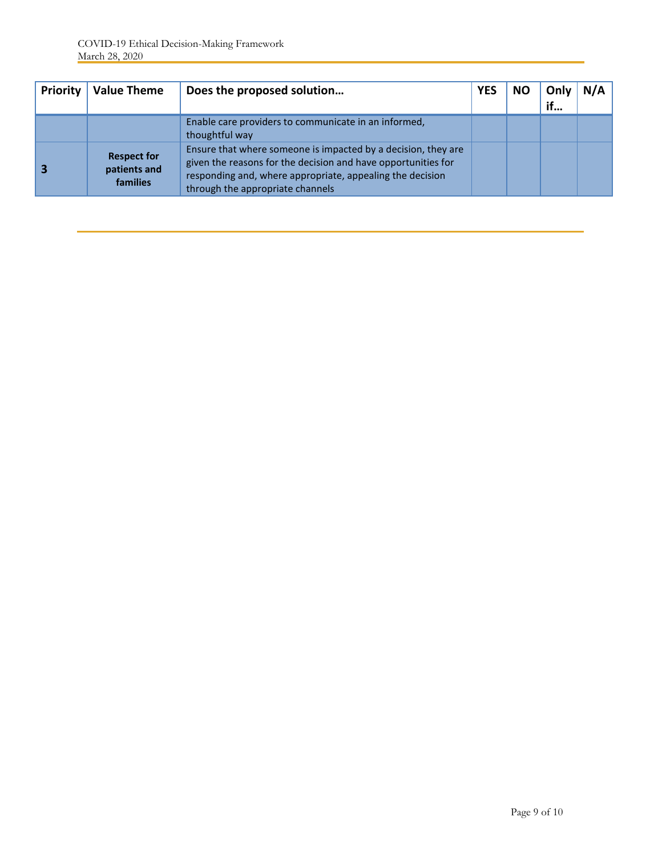| <b>Priority</b> | <b>Value Theme</b>                                    | Does the proposed solution                                                                                                                                                                                                      | <b>YES</b> | <b>NO</b> | Only<br>if | N/A |
|-----------------|-------------------------------------------------------|---------------------------------------------------------------------------------------------------------------------------------------------------------------------------------------------------------------------------------|------------|-----------|------------|-----|
|                 |                                                       | Enable care providers to communicate in an informed,<br>thoughtful way                                                                                                                                                          |            |           |            |     |
|                 | <b>Respect for</b><br>patients and<br><b>families</b> | Ensure that where someone is impacted by a decision, they are<br>given the reasons for the decision and have opportunities for<br>responding and, where appropriate, appealing the decision<br>through the appropriate channels |            |           |            |     |